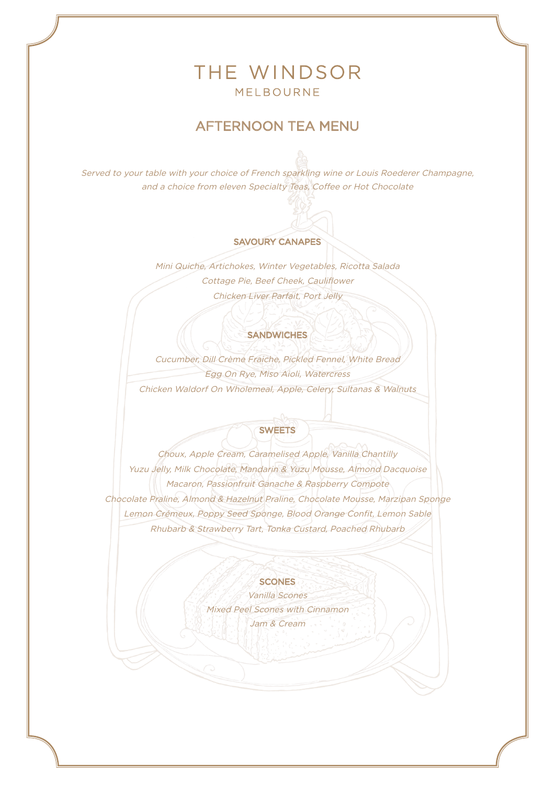# THE WINDSOR MELBOURNE

## AFTERNOON TEA MENU

Served to your table with your choice of French sparkling wine or Louis Roederer Champagne, and a choice from eleven Specialty Teas, Coffee or Hot Chocolate

### SAVOURY CANAPES

Mini Quiche, Artichokes, Winter Vegetables, Ricotta Salada Cottage Pie, Beef Cheek, Cauliflower Chicken Liver Parfait, Port Jelly

#### **SANDWICHES**

Cucumber, Dill Crème Fraiche, Pickled Fennel, White Bread Egg On Rye, Miso Aioli, Watercress Chicken Waldorf On Wholemeal, Apple, Celery, Sultanas & Walnuts

## SWEETS

Choux, Apple Cream, Caramelised Apple, Vanilla Chantilly Yuzu Jelly, Milk Chocolate, Mandarin & Yuzu Mousse, Almond Dacquoise Macaron, Passionfruit Ganache & Raspberry Compote Chocolate Praline, Almond & Hazelnut Praline, Chocolate Mousse, Marzipan Sponge Lemon Crémeux, Poppy Seed Sponge, Blood Orange Confit, Lemon Sable Rhubarb & Strawberry Tart, Tonka Custard, Poached Rhubarb

#### **SCONES**

Vanilla Scones Mixed Peel Scones with Cinnamon Jam & Cream